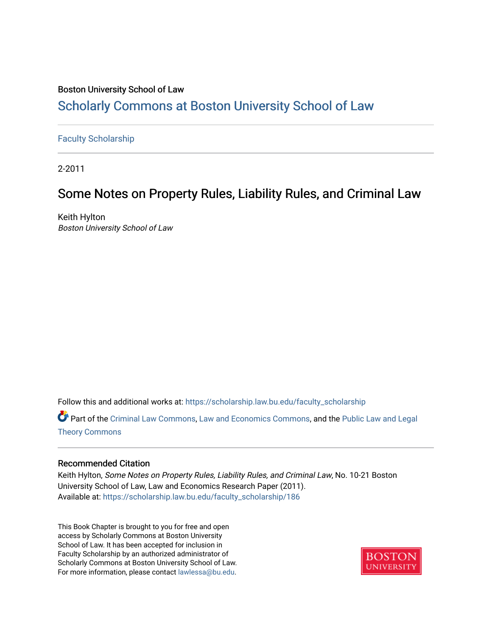# Boston University School of Law [Scholarly Commons at Boston University School of Law](https://scholarship.law.bu.edu/)

# [Faculty Scholarship](https://scholarship.law.bu.edu/faculty_scholarship)

2-2011

# Some Notes on Property Rules, Liability Rules, and Criminal Law

Keith Hylton Boston University School of Law

Follow this and additional works at: [https://scholarship.law.bu.edu/faculty\\_scholarship](https://scholarship.law.bu.edu/faculty_scholarship?utm_source=scholarship.law.bu.edu%2Ffaculty_scholarship%2F186&utm_medium=PDF&utm_campaign=PDFCoverPages)

Part of the [Criminal Law Commons,](http://network.bepress.com/hgg/discipline/912?utm_source=scholarship.law.bu.edu%2Ffaculty_scholarship%2F186&utm_medium=PDF&utm_campaign=PDFCoverPages) [Law and Economics Commons,](http://network.bepress.com/hgg/discipline/612?utm_source=scholarship.law.bu.edu%2Ffaculty_scholarship%2F186&utm_medium=PDF&utm_campaign=PDFCoverPages) and the Public Law and Legal [Theory Commons](http://network.bepress.com/hgg/discipline/871?utm_source=scholarship.law.bu.edu%2Ffaculty_scholarship%2F186&utm_medium=PDF&utm_campaign=PDFCoverPages)

# Recommended Citation

Keith Hylton, Some Notes on Property Rules, Liability Rules, and Criminal Law, No. 10-21 Boston University School of Law, Law and Economics Research Paper (2011). Available at: [https://scholarship.law.bu.edu/faculty\\_scholarship/186](https://scholarship.law.bu.edu/faculty_scholarship/186?utm_source=scholarship.law.bu.edu%2Ffaculty_scholarship%2F186&utm_medium=PDF&utm_campaign=PDFCoverPages) 

This Book Chapter is brought to you for free and open access by Scholarly Commons at Boston University School of Law. It has been accepted for inclusion in Faculty Scholarship by an authorized administrator of Scholarly Commons at Boston University School of Law. For more information, please contact [lawlessa@bu.edu](mailto:lawlessa@bu.edu).

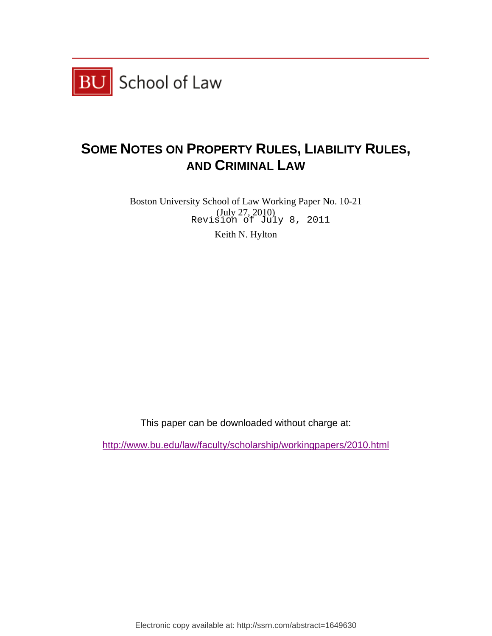

# **SOME NOTES ON PROPERTY RULES, LIABILITY RULES, AND CRIMINAL LAW**

Boston University School of Law Working Paper No. 10-21 (July 27, 2010) Revision of July 8, 2011

Keith N. Hylton

This paper can be downloaded without charge at:

http://www.bu.edu/law/faculty/scholarship/workingpapers/2010.html

Electronic copy available at: http://ssrn.com/abstract=1649630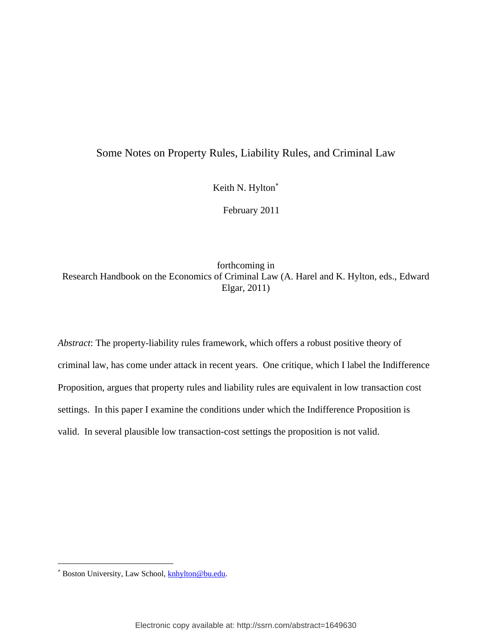# Some Notes on Property Rules, Liability Rules, and Criminal Law

Keith N. Hylton

February 2011

forthcoming in Research Handbook on the Economics of Criminal Law (A. Harel and K. Hylton, eds., Edward Elgar, 2011)

*Abstract*: The property-liability rules framework, which offers a robust positive theory of criminal law, has come under attack in recent years. One critique, which I label the Indifference Proposition, argues that property rules and liability rules are equivalent in low transaction cost settings. In this paper I examine the conditions under which the Indifference Proposition is valid. In several plausible low transaction-cost settings the proposition is not valid.

 $\overline{a}$ 

<sup>\*</sup> Boston University, Law School, **knhylton@bu.edu.**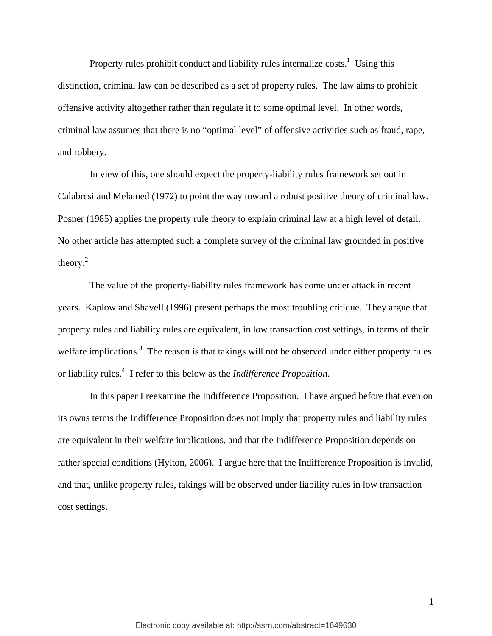Property rules prohibit conduct and liability rules internalize  $costs<sup>1</sup>$ . Using this distinction, criminal law can be described as a set of property rules. The law aims to prohibit offensive activity altogether rather than regulate it to some optimal level. In other words, criminal law assumes that there is no "optimal level" of offensive activities such as fraud, rape, and robbery.

 In view of this, one should expect the property-liability rules framework set out in Calabresi and Melamed (1972) to point the way toward a robust positive theory of criminal law. Posner (1985) applies the property rule theory to explain criminal law at a high level of detail. No other article has attempted such a complete survey of the criminal law grounded in positive theory.2

 The value of the property-liability rules framework has come under attack in recent years. Kaplow and Shavell (1996) present perhaps the most troubling critique. They argue that property rules and liability rules are equivalent, in low transaction cost settings, in terms of their welfare implications.<sup>3</sup> The reason is that takings will not be observed under either property rules or liability rules.4 I refer to this below as the *Indifference Proposition*.

 In this paper I reexamine the Indifference Proposition. I have argued before that even on its owns terms the Indifference Proposition does not imply that property rules and liability rules are equivalent in their welfare implications, and that the Indifference Proposition depends on rather special conditions (Hylton, 2006). I argue here that the Indifference Proposition is invalid, and that, unlike property rules, takings will be observed under liability rules in low transaction cost settings.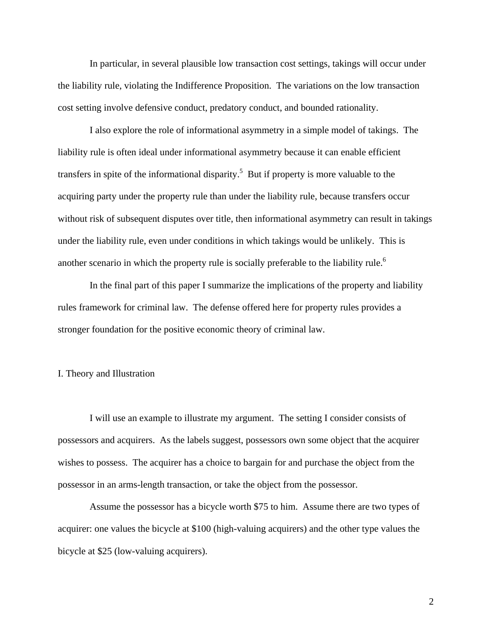In particular, in several plausible low transaction cost settings, takings will occur under the liability rule, violating the Indifference Proposition. The variations on the low transaction cost setting involve defensive conduct, predatory conduct, and bounded rationality.

 I also explore the role of informational asymmetry in a simple model of takings. The liability rule is often ideal under informational asymmetry because it can enable efficient transfers in spite of the informational disparity.<sup>5</sup> But if property is more valuable to the acquiring party under the property rule than under the liability rule, because transfers occur without risk of subsequent disputes over title, then informational asymmetry can result in takings under the liability rule, even under conditions in which takings would be unlikely. This is another scenario in which the property rule is socially preferable to the liability rule.<sup>6</sup>

 In the final part of this paper I summarize the implications of the property and liability rules framework for criminal law. The defense offered here for property rules provides a stronger foundation for the positive economic theory of criminal law.

# I. Theory and Illustration

 I will use an example to illustrate my argument. The setting I consider consists of possessors and acquirers. As the labels suggest, possessors own some object that the acquirer wishes to possess. The acquirer has a choice to bargain for and purchase the object from the possessor in an arms-length transaction, or take the object from the possessor.

 Assume the possessor has a bicycle worth \$75 to him. Assume there are two types of acquirer: one values the bicycle at \$100 (high-valuing acquirers) and the other type values the bicycle at \$25 (low-valuing acquirers).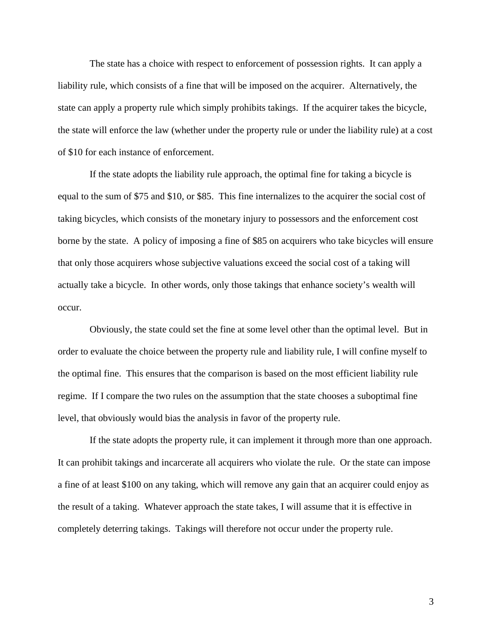The state has a choice with respect to enforcement of possession rights. It can apply a liability rule, which consists of a fine that will be imposed on the acquirer. Alternatively, the state can apply a property rule which simply prohibits takings. If the acquirer takes the bicycle, the state will enforce the law (whether under the property rule or under the liability rule) at a cost of \$10 for each instance of enforcement.

 If the state adopts the liability rule approach, the optimal fine for taking a bicycle is equal to the sum of \$75 and \$10, or \$85. This fine internalizes to the acquirer the social cost of taking bicycles, which consists of the monetary injury to possessors and the enforcement cost borne by the state. A policy of imposing a fine of \$85 on acquirers who take bicycles will ensure that only those acquirers whose subjective valuations exceed the social cost of a taking will actually take a bicycle. In other words, only those takings that enhance society's wealth will occur.

 Obviously, the state could set the fine at some level other than the optimal level. But in order to evaluate the choice between the property rule and liability rule, I will confine myself to the optimal fine. This ensures that the comparison is based on the most efficient liability rule regime. If I compare the two rules on the assumption that the state chooses a suboptimal fine level, that obviously would bias the analysis in favor of the property rule.

 If the state adopts the property rule, it can implement it through more than one approach. It can prohibit takings and incarcerate all acquirers who violate the rule. Or the state can impose a fine of at least \$100 on any taking, which will remove any gain that an acquirer could enjoy as the result of a taking. Whatever approach the state takes, I will assume that it is effective in completely deterring takings. Takings will therefore not occur under the property rule.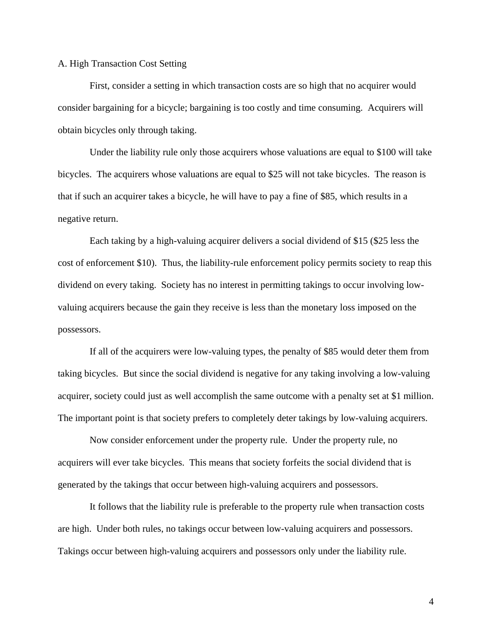# A. High Transaction Cost Setting

 First, consider a setting in which transaction costs are so high that no acquirer would consider bargaining for a bicycle; bargaining is too costly and time consuming. Acquirers will obtain bicycles only through taking.

 Under the liability rule only those acquirers whose valuations are equal to \$100 will take bicycles. The acquirers whose valuations are equal to \$25 will not take bicycles. The reason is that if such an acquirer takes a bicycle, he will have to pay a fine of \$85, which results in a negative return.

 Each taking by a high-valuing acquirer delivers a social dividend of \$15 (\$25 less the cost of enforcement \$10). Thus, the liability-rule enforcement policy permits society to reap this dividend on every taking. Society has no interest in permitting takings to occur involving lowvaluing acquirers because the gain they receive is less than the monetary loss imposed on the possessors.

 If all of the acquirers were low-valuing types, the penalty of \$85 would deter them from taking bicycles. But since the social dividend is negative for any taking involving a low-valuing acquirer, society could just as well accomplish the same outcome with a penalty set at \$1 million. The important point is that society prefers to completely deter takings by low-valuing acquirers.

 Now consider enforcement under the property rule. Under the property rule, no acquirers will ever take bicycles. This means that society forfeits the social dividend that is generated by the takings that occur between high-valuing acquirers and possessors.

 It follows that the liability rule is preferable to the property rule when transaction costs are high. Under both rules, no takings occur between low-valuing acquirers and possessors. Takings occur between high-valuing acquirers and possessors only under the liability rule.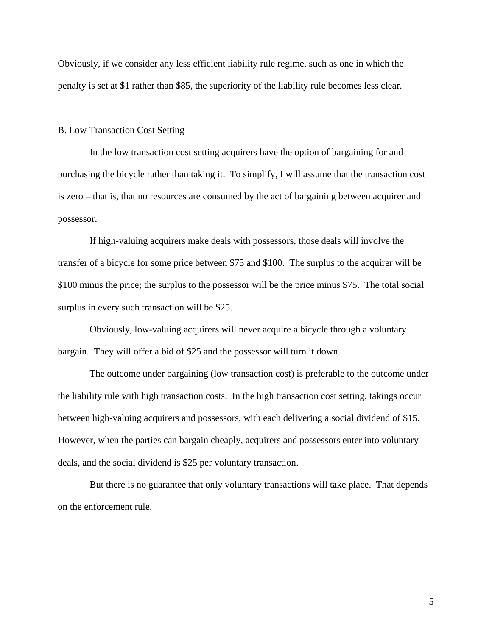Obviously, if we consider any less efficient liability rule regime, such as one in which the penalty is set at \$1 rather than \$85, the superiority of the liability rule becomes less clear.

### B. Low Transaction Cost Setting

 In the low transaction cost setting acquirers have the option of bargaining for and purchasing the bicycle rather than taking it. To simplify, I will assume that the transaction cost is zero – that is, that no resources are consumed by the act of bargaining between acquirer and possessor.

 If high-valuing acquirers make deals with possessors, those deals will involve the transfer of a bicycle for some price between \$75 and \$100. The surplus to the acquirer will be \$100 minus the price; the surplus to the possessor will be the price minus \$75. The total social surplus in every such transaction will be \$25.

 Obviously, low-valuing acquirers will never acquire a bicycle through a voluntary bargain. They will offer a bid of \$25 and the possessor will turn it down.

 The outcome under bargaining (low transaction cost) is preferable to the outcome under the liability rule with high transaction costs. In the high transaction cost setting, takings occur between high-valuing acquirers and possessors, with each delivering a social dividend of \$15. However, when the parties can bargain cheaply, acquirers and possessors enter into voluntary deals, and the social dividend is \$25 per voluntary transaction.

 But there is no guarantee that only voluntary transactions will take place. That depends on the enforcement rule.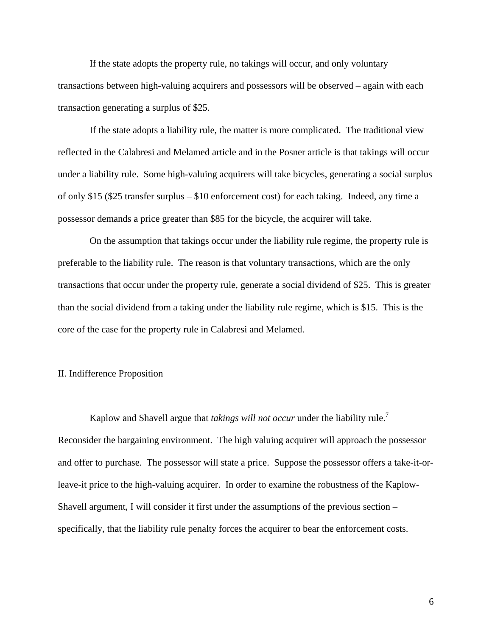If the state adopts the property rule, no takings will occur, and only voluntary transactions between high-valuing acquirers and possessors will be observed – again with each transaction generating a surplus of \$25.

 If the state adopts a liability rule, the matter is more complicated. The traditional view reflected in the Calabresi and Melamed article and in the Posner article is that takings will occur under a liability rule. Some high-valuing acquirers will take bicycles, generating a social surplus of only \$15 (\$25 transfer surplus – \$10 enforcement cost) for each taking. Indeed, any time a possessor demands a price greater than \$85 for the bicycle, the acquirer will take.

 On the assumption that takings occur under the liability rule regime, the property rule is preferable to the liability rule. The reason is that voluntary transactions, which are the only transactions that occur under the property rule, generate a social dividend of \$25. This is greater than the social dividend from a taking under the liability rule regime, which is \$15. This is the core of the case for the property rule in Calabresi and Melamed.

# II. Indifference Proposition

Kaplow and Shavell argue that *takings will not occur* under the liability rule.<sup>7</sup> Reconsider the bargaining environment. The high valuing acquirer will approach the possessor and offer to purchase. The possessor will state a price. Suppose the possessor offers a take-it-orleave-it price to the high-valuing acquirer. In order to examine the robustness of the Kaplow-Shavell argument, I will consider it first under the assumptions of the previous section – specifically, that the liability rule penalty forces the acquirer to bear the enforcement costs.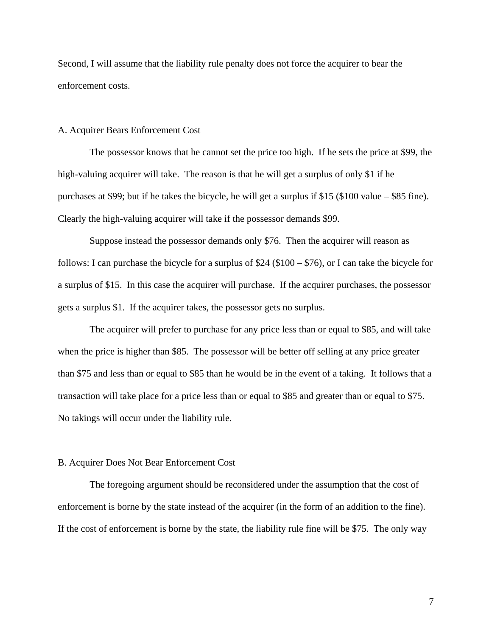Second, I will assume that the liability rule penalty does not force the acquirer to bear the enforcement costs.

# A. Acquirer Bears Enforcement Cost

 The possessor knows that he cannot set the price too high. If he sets the price at \$99, the high-valuing acquirer will take. The reason is that he will get a surplus of only \$1 if he purchases at \$99; but if he takes the bicycle, he will get a surplus if \$15 (\$100 value – \$85 fine). Clearly the high-valuing acquirer will take if the possessor demands \$99.

 Suppose instead the possessor demands only \$76. Then the acquirer will reason as follows: I can purchase the bicycle for a surplus of \$24 (\$100 – \$76), or I can take the bicycle for a surplus of \$15. In this case the acquirer will purchase. If the acquirer purchases, the possessor gets a surplus \$1. If the acquirer takes, the possessor gets no surplus.

 The acquirer will prefer to purchase for any price less than or equal to \$85, and will take when the price is higher than \$85. The possessor will be better off selling at any price greater than \$75 and less than or equal to \$85 than he would be in the event of a taking. It follows that a transaction will take place for a price less than or equal to \$85 and greater than or equal to \$75. No takings will occur under the liability rule.

#### B. Acquirer Does Not Bear Enforcement Cost

 The foregoing argument should be reconsidered under the assumption that the cost of enforcement is borne by the state instead of the acquirer (in the form of an addition to the fine). If the cost of enforcement is borne by the state, the liability rule fine will be \$75. The only way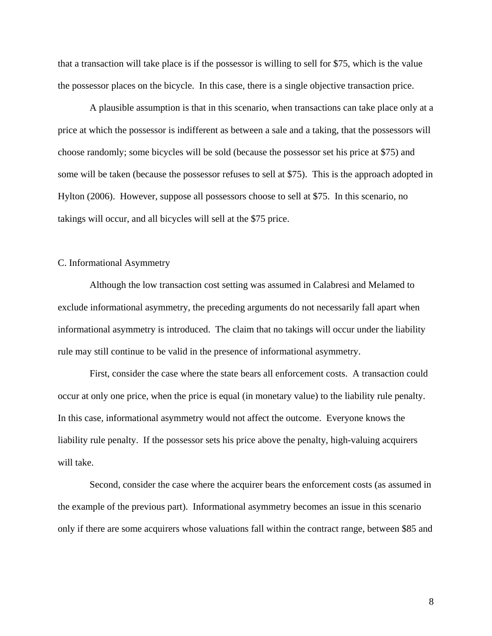that a transaction will take place is if the possessor is willing to sell for \$75, which is the value the possessor places on the bicycle. In this case, there is a single objective transaction price.

 A plausible assumption is that in this scenario, when transactions can take place only at a price at which the possessor is indifferent as between a sale and a taking, that the possessors will choose randomly; some bicycles will be sold (because the possessor set his price at \$75) and some will be taken (because the possessor refuses to sell at \$75). This is the approach adopted in Hylton (2006). However, suppose all possessors choose to sell at \$75. In this scenario, no takings will occur, and all bicycles will sell at the \$75 price.

# C. Informational Asymmetry

 Although the low transaction cost setting was assumed in Calabresi and Melamed to exclude informational asymmetry, the preceding arguments do not necessarily fall apart when informational asymmetry is introduced. The claim that no takings will occur under the liability rule may still continue to be valid in the presence of informational asymmetry.

 First, consider the case where the state bears all enforcement costs. A transaction could occur at only one price, when the price is equal (in monetary value) to the liability rule penalty. In this case, informational asymmetry would not affect the outcome. Everyone knows the liability rule penalty. If the possessor sets his price above the penalty, high-valuing acquirers will take.

 Second, consider the case where the acquirer bears the enforcement costs (as assumed in the example of the previous part). Informational asymmetry becomes an issue in this scenario only if there are some acquirers whose valuations fall within the contract range, between \$85 and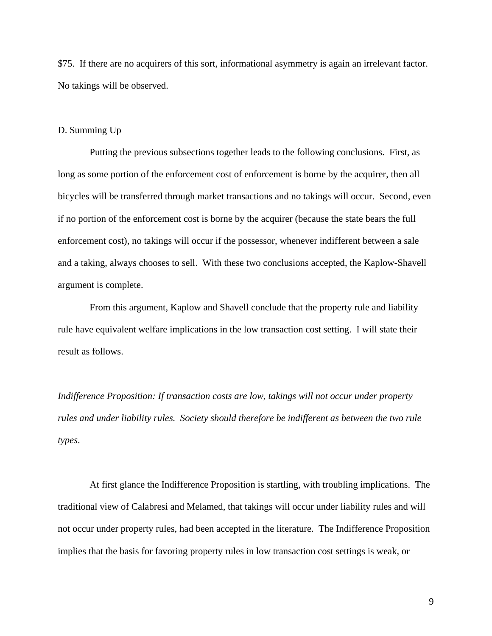\$75. If there are no acquirers of this sort, informational asymmetry is again an irrelevant factor. No takings will be observed.

# D. Summing Up

 Putting the previous subsections together leads to the following conclusions. First, as long as some portion of the enforcement cost of enforcement is borne by the acquirer, then all bicycles will be transferred through market transactions and no takings will occur. Second, even if no portion of the enforcement cost is borne by the acquirer (because the state bears the full enforcement cost), no takings will occur if the possessor, whenever indifferent between a sale and a taking, always chooses to sell. With these two conclusions accepted, the Kaplow-Shavell argument is complete.

 From this argument, Kaplow and Shavell conclude that the property rule and liability rule have equivalent welfare implications in the low transaction cost setting. I will state their result as follows.

*Indifference Proposition: If transaction costs are low, takings will not occur under property rules and under liability rules. Society should therefore be indifferent as between the two rule types*.

 At first glance the Indifference Proposition is startling, with troubling implications. The traditional view of Calabresi and Melamed, that takings will occur under liability rules and will not occur under property rules, had been accepted in the literature. The Indifference Proposition implies that the basis for favoring property rules in low transaction cost settings is weak, or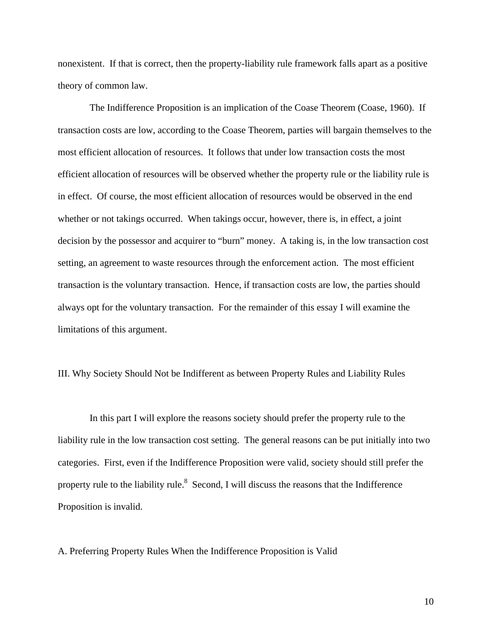nonexistent. If that is correct, then the property-liability rule framework falls apart as a positive theory of common law.

 The Indifference Proposition is an implication of the Coase Theorem (Coase, 1960). If transaction costs are low, according to the Coase Theorem, parties will bargain themselves to the most efficient allocation of resources. It follows that under low transaction costs the most efficient allocation of resources will be observed whether the property rule or the liability rule is in effect. Of course, the most efficient allocation of resources would be observed in the end whether or not takings occurred. When takings occur, however, there is, in effect, a joint decision by the possessor and acquirer to "burn" money. A taking is, in the low transaction cost setting, an agreement to waste resources through the enforcement action. The most efficient transaction is the voluntary transaction. Hence, if transaction costs are low, the parties should always opt for the voluntary transaction. For the remainder of this essay I will examine the limitations of this argument.

III. Why Society Should Not be Indifferent as between Property Rules and Liability Rules

 In this part I will explore the reasons society should prefer the property rule to the liability rule in the low transaction cost setting. The general reasons can be put initially into two categories. First, even if the Indifference Proposition were valid, society should still prefer the property rule to the liability rule.<sup>8</sup> Second, I will discuss the reasons that the Indifference Proposition is invalid.

A. Preferring Property Rules When the Indifference Proposition is Valid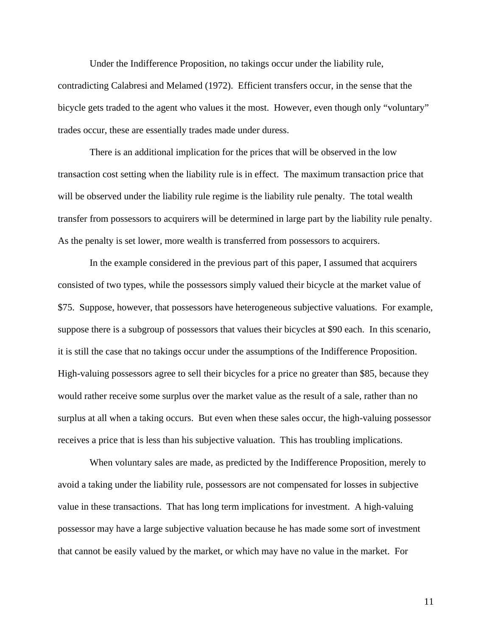Under the Indifference Proposition, no takings occur under the liability rule,

contradicting Calabresi and Melamed (1972). Efficient transfers occur, in the sense that the bicycle gets traded to the agent who values it the most. However, even though only "voluntary" trades occur, these are essentially trades made under duress.

 There is an additional implication for the prices that will be observed in the low transaction cost setting when the liability rule is in effect. The maximum transaction price that will be observed under the liability rule regime is the liability rule penalty. The total wealth transfer from possessors to acquirers will be determined in large part by the liability rule penalty. As the penalty is set lower, more wealth is transferred from possessors to acquirers.

 In the example considered in the previous part of this paper, I assumed that acquirers consisted of two types, while the possessors simply valued their bicycle at the market value of \$75. Suppose, however, that possessors have heterogeneous subjective valuations. For example, suppose there is a subgroup of possessors that values their bicycles at \$90 each. In this scenario, it is still the case that no takings occur under the assumptions of the Indifference Proposition. High-valuing possessors agree to sell their bicycles for a price no greater than \$85, because they would rather receive some surplus over the market value as the result of a sale, rather than no surplus at all when a taking occurs. But even when these sales occur, the high-valuing possessor receives a price that is less than his subjective valuation. This has troubling implications.

 When voluntary sales are made, as predicted by the Indifference Proposition, merely to avoid a taking under the liability rule, possessors are not compensated for losses in subjective value in these transactions. That has long term implications for investment. A high-valuing possessor may have a large subjective valuation because he has made some sort of investment that cannot be easily valued by the market, or which may have no value in the market. For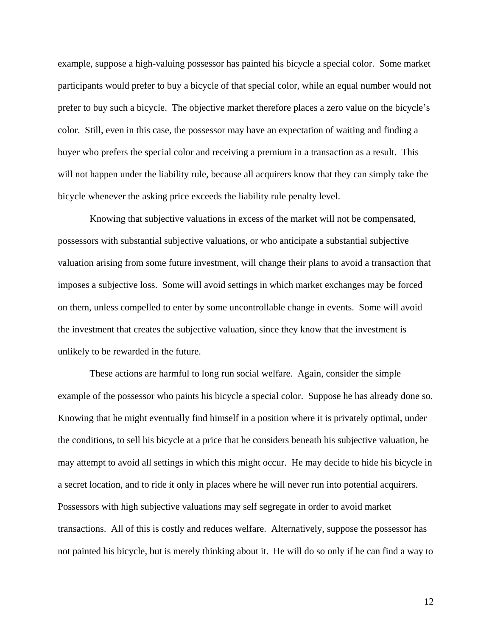example, suppose a high-valuing possessor has painted his bicycle a special color. Some market participants would prefer to buy a bicycle of that special color, while an equal number would not prefer to buy such a bicycle. The objective market therefore places a zero value on the bicycle's color. Still, even in this case, the possessor may have an expectation of waiting and finding a buyer who prefers the special color and receiving a premium in a transaction as a result. This will not happen under the liability rule, because all acquirers know that they can simply take the bicycle whenever the asking price exceeds the liability rule penalty level.

 Knowing that subjective valuations in excess of the market will not be compensated, possessors with substantial subjective valuations, or who anticipate a substantial subjective valuation arising from some future investment, will change their plans to avoid a transaction that imposes a subjective loss. Some will avoid settings in which market exchanges may be forced on them, unless compelled to enter by some uncontrollable change in events. Some will avoid the investment that creates the subjective valuation, since they know that the investment is unlikely to be rewarded in the future.

 These actions are harmful to long run social welfare. Again, consider the simple example of the possessor who paints his bicycle a special color. Suppose he has already done so. Knowing that he might eventually find himself in a position where it is privately optimal, under the conditions, to sell his bicycle at a price that he considers beneath his subjective valuation, he may attempt to avoid all settings in which this might occur. He may decide to hide his bicycle in a secret location, and to ride it only in places where he will never run into potential acquirers. Possessors with high subjective valuations may self segregate in order to avoid market transactions. All of this is costly and reduces welfare. Alternatively, suppose the possessor has not painted his bicycle, but is merely thinking about it. He will do so only if he can find a way to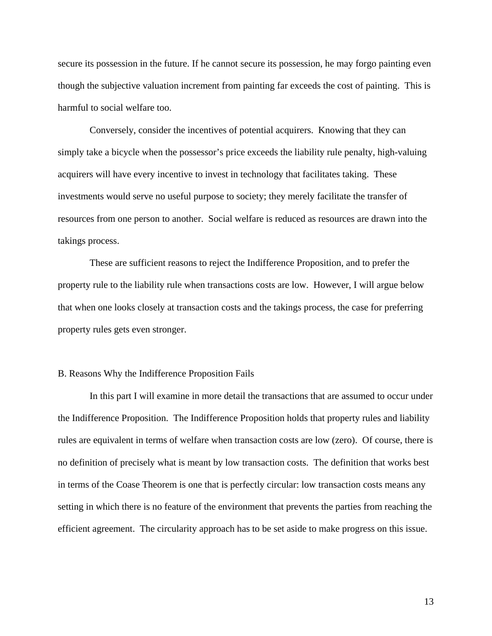secure its possession in the future. If he cannot secure its possession, he may forgo painting even though the subjective valuation increment from painting far exceeds the cost of painting. This is harmful to social welfare too.

 Conversely, consider the incentives of potential acquirers. Knowing that they can simply take a bicycle when the possessor's price exceeds the liability rule penalty, high-valuing acquirers will have every incentive to invest in technology that facilitates taking. These investments would serve no useful purpose to society; they merely facilitate the transfer of resources from one person to another. Social welfare is reduced as resources are drawn into the takings process.

 These are sufficient reasons to reject the Indifference Proposition, and to prefer the property rule to the liability rule when transactions costs are low. However, I will argue below that when one looks closely at transaction costs and the takings process, the case for preferring property rules gets even stronger.

# B. Reasons Why the Indifference Proposition Fails

 In this part I will examine in more detail the transactions that are assumed to occur under the Indifference Proposition. The Indifference Proposition holds that property rules and liability rules are equivalent in terms of welfare when transaction costs are low (zero). Of course, there is no definition of precisely what is meant by low transaction costs. The definition that works best in terms of the Coase Theorem is one that is perfectly circular: low transaction costs means any setting in which there is no feature of the environment that prevents the parties from reaching the efficient agreement. The circularity approach has to be set aside to make progress on this issue.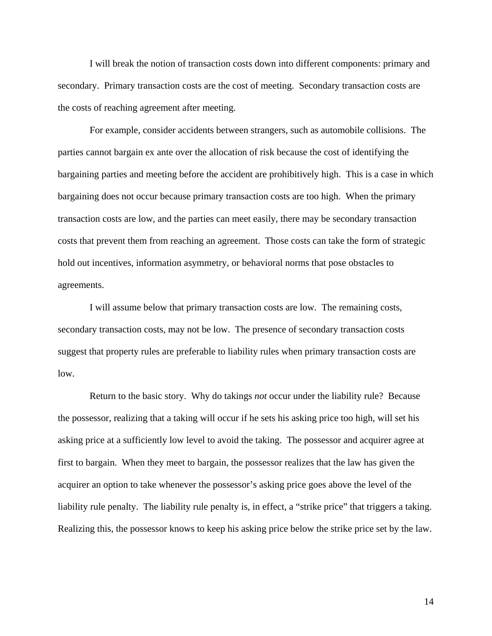I will break the notion of transaction costs down into different components: primary and secondary. Primary transaction costs are the cost of meeting. Secondary transaction costs are the costs of reaching agreement after meeting.

 For example, consider accidents between strangers, such as automobile collisions. The parties cannot bargain ex ante over the allocation of risk because the cost of identifying the bargaining parties and meeting before the accident are prohibitively high. This is a case in which bargaining does not occur because primary transaction costs are too high. When the primary transaction costs are low, and the parties can meet easily, there may be secondary transaction costs that prevent them from reaching an agreement. Those costs can take the form of strategic hold out incentives, information asymmetry, or behavioral norms that pose obstacles to agreements.

 I will assume below that primary transaction costs are low. The remaining costs, secondary transaction costs, may not be low. The presence of secondary transaction costs suggest that property rules are preferable to liability rules when primary transaction costs are low.

 Return to the basic story. Why do takings *not* occur under the liability rule? Because the possessor, realizing that a taking will occur if he sets his asking price too high, will set his asking price at a sufficiently low level to avoid the taking. The possessor and acquirer agree at first to bargain. When they meet to bargain, the possessor realizes that the law has given the acquirer an option to take whenever the possessor's asking price goes above the level of the liability rule penalty. The liability rule penalty is, in effect, a "strike price" that triggers a taking. Realizing this, the possessor knows to keep his asking price below the strike price set by the law.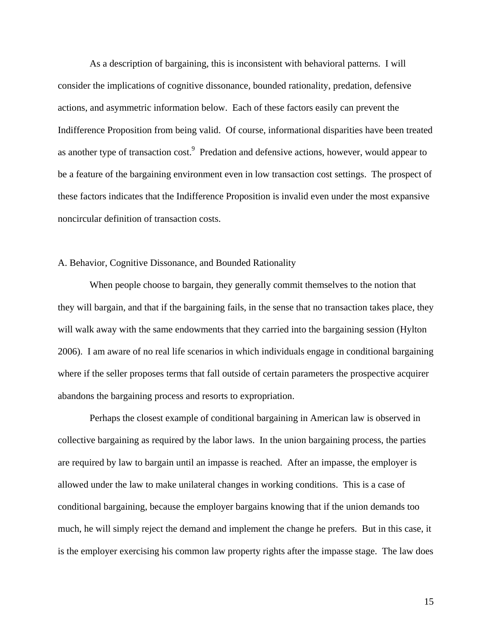As a description of bargaining, this is inconsistent with behavioral patterns. I will consider the implications of cognitive dissonance, bounded rationality, predation, defensive actions, and asymmetric information below. Each of these factors easily can prevent the Indifference Proposition from being valid. Of course, informational disparities have been treated as another type of transaction cost.<sup>9</sup> Predation and defensive actions, however, would appear to be a feature of the bargaining environment even in low transaction cost settings. The prospect of these factors indicates that the Indifference Proposition is invalid even under the most expansive noncircular definition of transaction costs.

# A. Behavior, Cognitive Dissonance, and Bounded Rationality

 When people choose to bargain, they generally commit themselves to the notion that they will bargain, and that if the bargaining fails, in the sense that no transaction takes place, they will walk away with the same endowments that they carried into the bargaining session (Hylton 2006). I am aware of no real life scenarios in which individuals engage in conditional bargaining where if the seller proposes terms that fall outside of certain parameters the prospective acquirer abandons the bargaining process and resorts to expropriation.

 Perhaps the closest example of conditional bargaining in American law is observed in collective bargaining as required by the labor laws. In the union bargaining process, the parties are required by law to bargain until an impasse is reached. After an impasse, the employer is allowed under the law to make unilateral changes in working conditions. This is a case of conditional bargaining, because the employer bargains knowing that if the union demands too much, he will simply reject the demand and implement the change he prefers. But in this case, it is the employer exercising his common law property rights after the impasse stage. The law does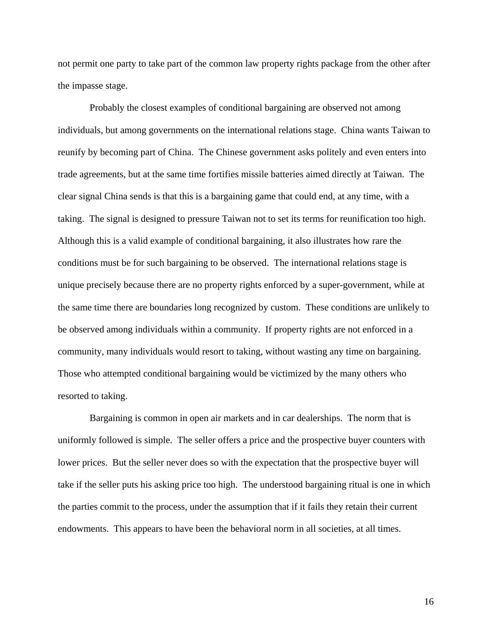not permit one party to take part of the common law property rights package from the other after the impasse stage.

 Probably the closest examples of conditional bargaining are observed not among individuals, but among governments on the international relations stage. China wants Taiwan to reunify by becoming part of China. The Chinese government asks politely and even enters into trade agreements, but at the same time fortifies missile batteries aimed directly at Taiwan. The clear signal China sends is that this is a bargaining game that could end, at any time, with a taking. The signal is designed to pressure Taiwan not to set its terms for reunification too high. Although this is a valid example of conditional bargaining, it also illustrates how rare the conditions must be for such bargaining to be observed. The international relations stage is unique precisely because there are no property rights enforced by a super-government, while at the same time there are boundaries long recognized by custom. These conditions are unlikely to be observed among individuals within a community. If property rights are not enforced in a community, many individuals would resort to taking, without wasting any time on bargaining. Those who attempted conditional bargaining would be victimized by the many others who resorted to taking.

 Bargaining is common in open air markets and in car dealerships. The norm that is uniformly followed is simple. The seller offers a price and the prospective buyer counters with lower prices. But the seller never does so with the expectation that the prospective buyer will take if the seller puts his asking price too high. The understood bargaining ritual is one in which the parties commit to the process, under the assumption that if it fails they retain their current endowments. This appears to have been the behavioral norm in all societies, at all times.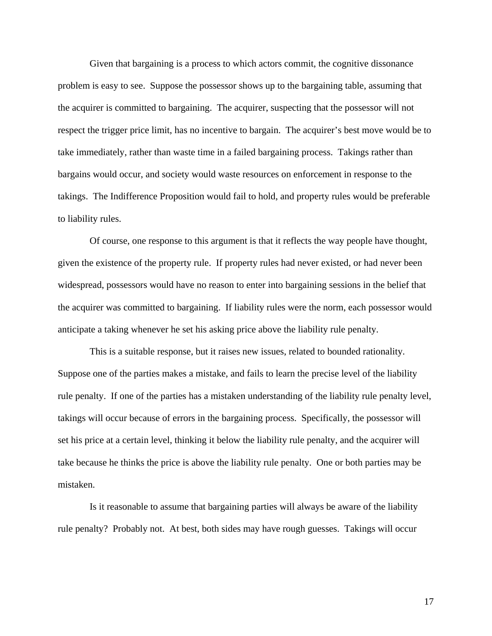Given that bargaining is a process to which actors commit, the cognitive dissonance problem is easy to see. Suppose the possessor shows up to the bargaining table, assuming that the acquirer is committed to bargaining. The acquirer, suspecting that the possessor will not respect the trigger price limit, has no incentive to bargain. The acquirer's best move would be to take immediately, rather than waste time in a failed bargaining process. Takings rather than bargains would occur, and society would waste resources on enforcement in response to the takings. The Indifference Proposition would fail to hold, and property rules would be preferable to liability rules.

 Of course, one response to this argument is that it reflects the way people have thought, given the existence of the property rule. If property rules had never existed, or had never been widespread, possessors would have no reason to enter into bargaining sessions in the belief that the acquirer was committed to bargaining. If liability rules were the norm, each possessor would anticipate a taking whenever he set his asking price above the liability rule penalty.

 This is a suitable response, but it raises new issues, related to bounded rationality. Suppose one of the parties makes a mistake, and fails to learn the precise level of the liability rule penalty. If one of the parties has a mistaken understanding of the liability rule penalty level, takings will occur because of errors in the bargaining process. Specifically, the possessor will set his price at a certain level, thinking it below the liability rule penalty, and the acquirer will take because he thinks the price is above the liability rule penalty. One or both parties may be mistaken.

 Is it reasonable to assume that bargaining parties will always be aware of the liability rule penalty? Probably not. At best, both sides may have rough guesses. Takings will occur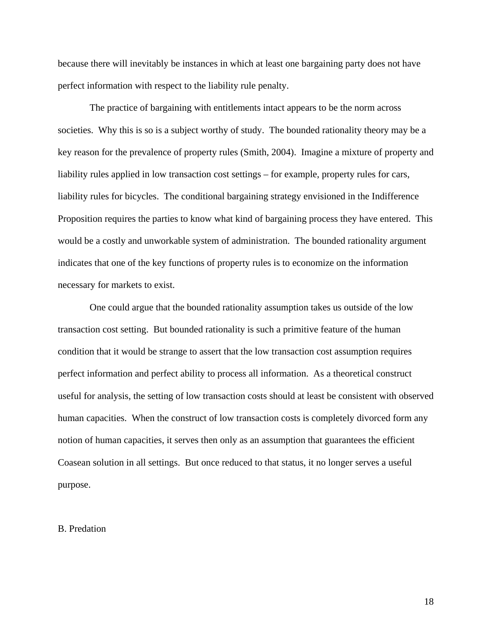because there will inevitably be instances in which at least one bargaining party does not have perfect information with respect to the liability rule penalty.

 The practice of bargaining with entitlements intact appears to be the norm across societies. Why this is so is a subject worthy of study. The bounded rationality theory may be a key reason for the prevalence of property rules (Smith, 2004). Imagine a mixture of property and liability rules applied in low transaction cost settings – for example, property rules for cars, liability rules for bicycles. The conditional bargaining strategy envisioned in the Indifference Proposition requires the parties to know what kind of bargaining process they have entered. This would be a costly and unworkable system of administration. The bounded rationality argument indicates that one of the key functions of property rules is to economize on the information necessary for markets to exist.

 One could argue that the bounded rationality assumption takes us outside of the low transaction cost setting. But bounded rationality is such a primitive feature of the human condition that it would be strange to assert that the low transaction cost assumption requires perfect information and perfect ability to process all information. As a theoretical construct useful for analysis, the setting of low transaction costs should at least be consistent with observed human capacities. When the construct of low transaction costs is completely divorced form any notion of human capacities, it serves then only as an assumption that guarantees the efficient Coasean solution in all settings. But once reduced to that status, it no longer serves a useful purpose.

### B. Predation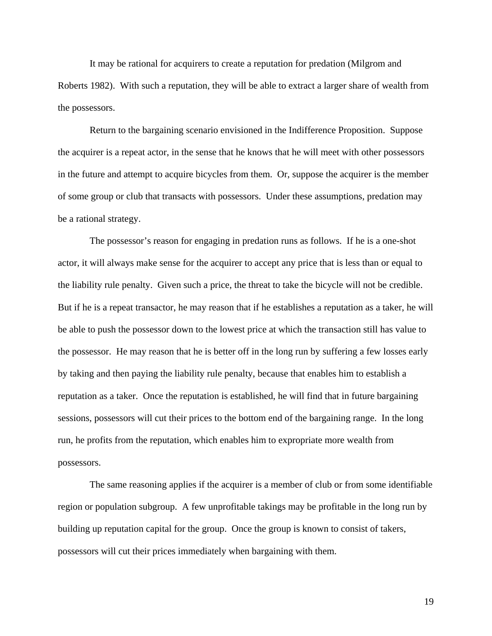It may be rational for acquirers to create a reputation for predation (Milgrom and Roberts 1982). With such a reputation, they will be able to extract a larger share of wealth from the possessors.

 Return to the bargaining scenario envisioned in the Indifference Proposition. Suppose the acquirer is a repeat actor, in the sense that he knows that he will meet with other possessors in the future and attempt to acquire bicycles from them. Or, suppose the acquirer is the member of some group or club that transacts with possessors. Under these assumptions, predation may be a rational strategy.

 The possessor's reason for engaging in predation runs as follows. If he is a one-shot actor, it will always make sense for the acquirer to accept any price that is less than or equal to the liability rule penalty. Given such a price, the threat to take the bicycle will not be credible. But if he is a repeat transactor, he may reason that if he establishes a reputation as a taker, he will be able to push the possessor down to the lowest price at which the transaction still has value to the possessor. He may reason that he is better off in the long run by suffering a few losses early by taking and then paying the liability rule penalty, because that enables him to establish a reputation as a taker. Once the reputation is established, he will find that in future bargaining sessions, possessors will cut their prices to the bottom end of the bargaining range. In the long run, he profits from the reputation, which enables him to expropriate more wealth from possessors.

 The same reasoning applies if the acquirer is a member of club or from some identifiable region or population subgroup. A few unprofitable takings may be profitable in the long run by building up reputation capital for the group. Once the group is known to consist of takers, possessors will cut their prices immediately when bargaining with them.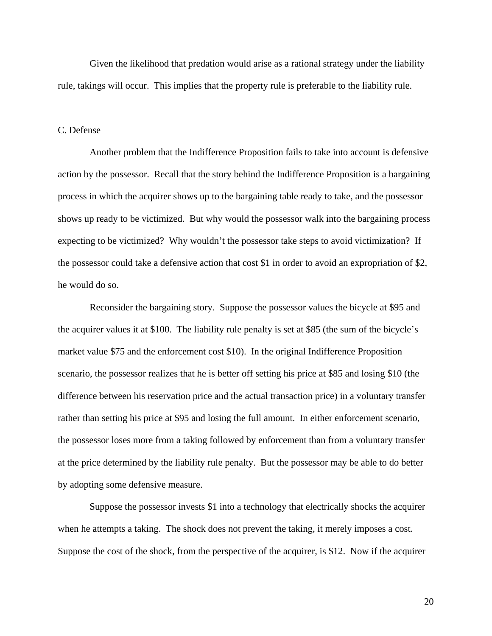Given the likelihood that predation would arise as a rational strategy under the liability rule, takings will occur. This implies that the property rule is preferable to the liability rule.

## C. Defense

 Another problem that the Indifference Proposition fails to take into account is defensive action by the possessor. Recall that the story behind the Indifference Proposition is a bargaining process in which the acquirer shows up to the bargaining table ready to take, and the possessor shows up ready to be victimized. But why would the possessor walk into the bargaining process expecting to be victimized? Why wouldn't the possessor take steps to avoid victimization? If the possessor could take a defensive action that cost \$1 in order to avoid an expropriation of \$2, he would do so.

 Reconsider the bargaining story. Suppose the possessor values the bicycle at \$95 and the acquirer values it at \$100. The liability rule penalty is set at \$85 (the sum of the bicycle's market value \$75 and the enforcement cost \$10). In the original Indifference Proposition scenario, the possessor realizes that he is better off setting his price at \$85 and losing \$10 (the difference between his reservation price and the actual transaction price) in a voluntary transfer rather than setting his price at \$95 and losing the full amount. In either enforcement scenario, the possessor loses more from a taking followed by enforcement than from a voluntary transfer at the price determined by the liability rule penalty. But the possessor may be able to do better by adopting some defensive measure.

 Suppose the possessor invests \$1 into a technology that electrically shocks the acquirer when he attempts a taking. The shock does not prevent the taking, it merely imposes a cost. Suppose the cost of the shock, from the perspective of the acquirer, is \$12. Now if the acquirer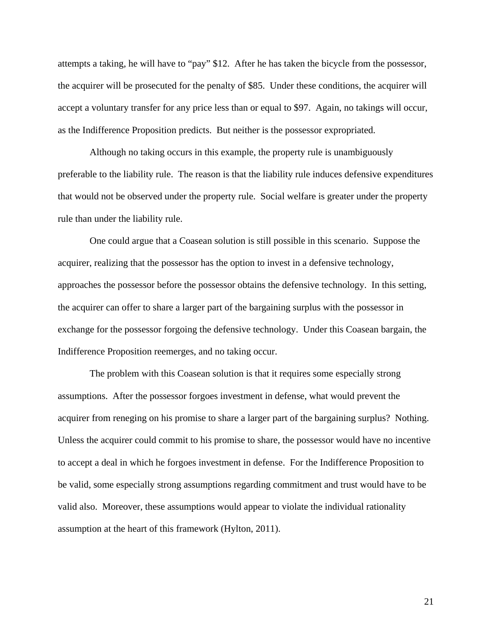attempts a taking, he will have to "pay" \$12. After he has taken the bicycle from the possessor, the acquirer will be prosecuted for the penalty of \$85. Under these conditions, the acquirer will accept a voluntary transfer for any price less than or equal to \$97. Again, no takings will occur, as the Indifference Proposition predicts. But neither is the possessor expropriated.

 Although no taking occurs in this example, the property rule is unambiguously preferable to the liability rule. The reason is that the liability rule induces defensive expenditures that would not be observed under the property rule. Social welfare is greater under the property rule than under the liability rule.

 One could argue that a Coasean solution is still possible in this scenario. Suppose the acquirer, realizing that the possessor has the option to invest in a defensive technology, approaches the possessor before the possessor obtains the defensive technology. In this setting, the acquirer can offer to share a larger part of the bargaining surplus with the possessor in exchange for the possessor forgoing the defensive technology. Under this Coasean bargain, the Indifference Proposition reemerges, and no taking occur.

 The problem with this Coasean solution is that it requires some especially strong assumptions. After the possessor forgoes investment in defense, what would prevent the acquirer from reneging on his promise to share a larger part of the bargaining surplus? Nothing. Unless the acquirer could commit to his promise to share, the possessor would have no incentive to accept a deal in which he forgoes investment in defense. For the Indifference Proposition to be valid, some especially strong assumptions regarding commitment and trust would have to be valid also. Moreover, these assumptions would appear to violate the individual rationality assumption at the heart of this framework (Hylton, 2011).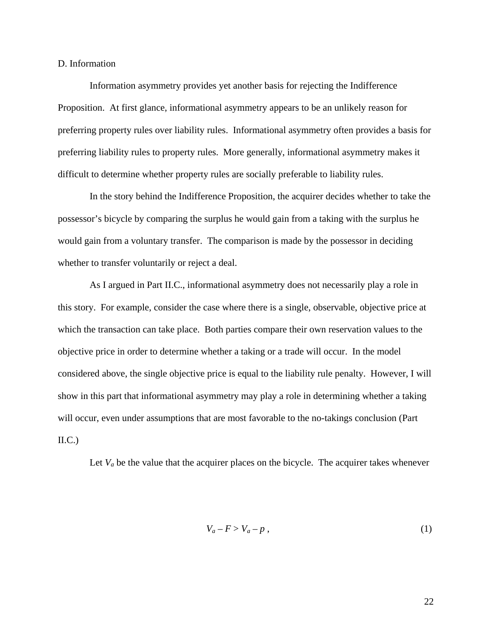D. Information

 Information asymmetry provides yet another basis for rejecting the Indifference Proposition. At first glance, informational asymmetry appears to be an unlikely reason for preferring property rules over liability rules. Informational asymmetry often provides a basis for preferring liability rules to property rules. More generally, informational asymmetry makes it difficult to determine whether property rules are socially preferable to liability rules.

 In the story behind the Indifference Proposition, the acquirer decides whether to take the possessor's bicycle by comparing the surplus he would gain from a taking with the surplus he would gain from a voluntary transfer. The comparison is made by the possessor in deciding whether to transfer voluntarily or reject a deal.

 As I argued in Part II.C., informational asymmetry does not necessarily play a role in this story. For example, consider the case where there is a single, observable, objective price at which the transaction can take place. Both parties compare their own reservation values to the objective price in order to determine whether a taking or a trade will occur. In the model considered above, the single objective price is equal to the liability rule penalty. However, I will show in this part that informational asymmetry may play a role in determining whether a taking will occur, even under assumptions that are most favorable to the no-takings conclusion (Part  $\text{II.C.}$ 

Let  $V_a$  be the value that the acquirer places on the bicycle. The acquirer takes whenever

$$
V_a - F > V_a - p \tag{1}
$$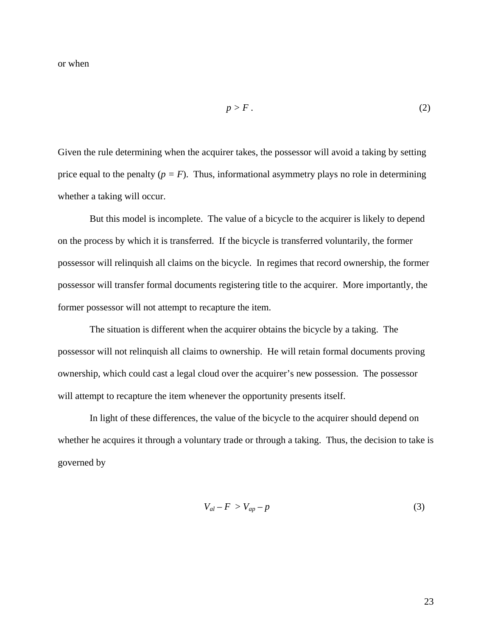$$
p > F.
$$
 (2)

Given the rule determining when the acquirer takes, the possessor will avoid a taking by setting price equal to the penalty  $(p = F)$ . Thus, informational asymmetry plays no role in determining whether a taking will occur.

 But this model is incomplete. The value of a bicycle to the acquirer is likely to depend on the process by which it is transferred. If the bicycle is transferred voluntarily, the former possessor will relinquish all claims on the bicycle. In regimes that record ownership, the former possessor will transfer formal documents registering title to the acquirer. More importantly, the former possessor will not attempt to recapture the item.

 The situation is different when the acquirer obtains the bicycle by a taking. The possessor will not relinquish all claims to ownership. He will retain formal documents proving ownership, which could cast a legal cloud over the acquirer's new possession. The possessor will attempt to recapture the item whenever the opportunity presents itself.

 In light of these differences, the value of the bicycle to the acquirer should depend on whether he acquires it through a voluntary trade or through a taking. Thus, the decision to take is governed by

$$
V_{al} - F > V_{ap} - p \tag{3}
$$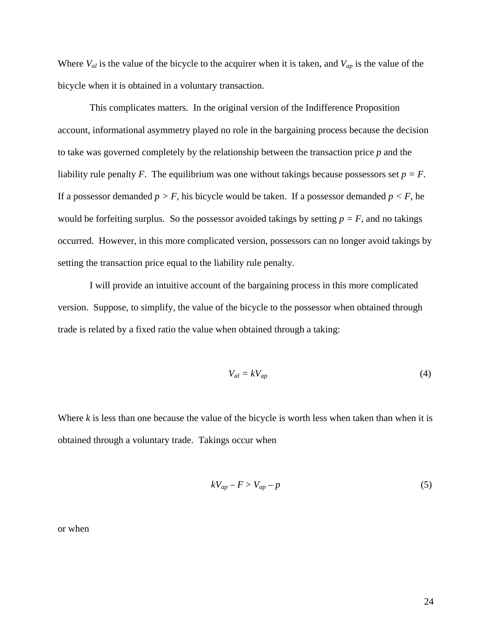Where  $V_{al}$  is the value of the bicycle to the acquirer when it is taken, and  $V_{ap}$  is the value of the bicycle when it is obtained in a voluntary transaction.

 This complicates matters. In the original version of the Indifference Proposition account, informational asymmetry played no role in the bargaining process because the decision to take was governed completely by the relationship between the transaction price *p* and the liability rule penalty *F*. The equilibrium was one without takings because possessors set  $p = F$ . If a possessor demanded  $p > F$ , his bicycle would be taken. If a possessor demanded  $p < F$ , he would be forfeiting surplus. So the possessor avoided takings by setting  $p = F$ , and no takings occurred. However, in this more complicated version, possessors can no longer avoid takings by setting the transaction price equal to the liability rule penalty.

 I will provide an intuitive account of the bargaining process in this more complicated version. Suppose, to simplify, the value of the bicycle to the possessor when obtained through trade is related by a fixed ratio the value when obtained through a taking:

$$
V_{al} = kV_{ap} \tag{4}
$$

Where *k* is less than one because the value of the bicycle is worth less when taken than when it is obtained through a voluntary trade. Takings occur when

$$
kV_{ap} - F > V_{ap} - p \tag{5}
$$

or when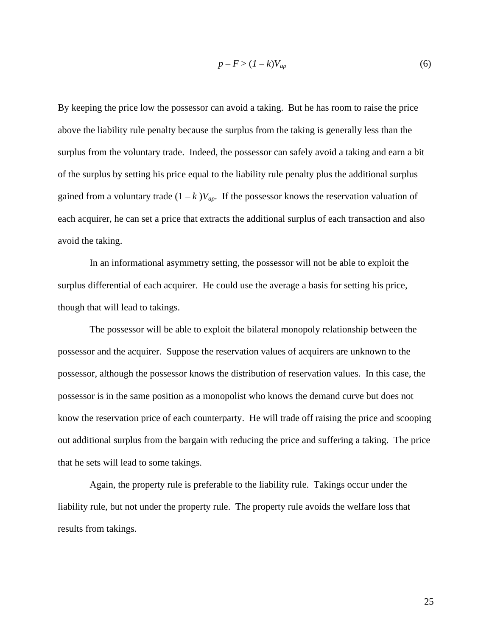$$
p - F > (1 - k)V_{ap} \tag{6}
$$

By keeping the price low the possessor can avoid a taking. But he has room to raise the price above the liability rule penalty because the surplus from the taking is generally less than the surplus from the voluntary trade. Indeed, the possessor can safely avoid a taking and earn a bit of the surplus by setting his price equal to the liability rule penalty plus the additional surplus gained from a voluntary trade  $(1 - k) V_{ap}$ . If the possessor knows the reservation valuation of each acquirer, he can set a price that extracts the additional surplus of each transaction and also avoid the taking.

 In an informational asymmetry setting, the possessor will not be able to exploit the surplus differential of each acquirer. He could use the average a basis for setting his price, though that will lead to takings.

 The possessor will be able to exploit the bilateral monopoly relationship between the possessor and the acquirer. Suppose the reservation values of acquirers are unknown to the possessor, although the possessor knows the distribution of reservation values. In this case, the possessor is in the same position as a monopolist who knows the demand curve but does not know the reservation price of each counterparty. He will trade off raising the price and scooping out additional surplus from the bargain with reducing the price and suffering a taking. The price that he sets will lead to some takings.

 Again, the property rule is preferable to the liability rule. Takings occur under the liability rule, but not under the property rule. The property rule avoids the welfare loss that results from takings.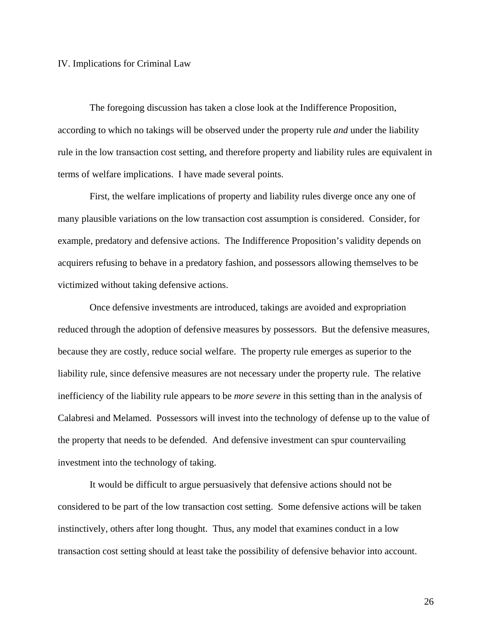# IV. Implications for Criminal Law

 The foregoing discussion has taken a close look at the Indifference Proposition, according to which no takings will be observed under the property rule *and* under the liability rule in the low transaction cost setting, and therefore property and liability rules are equivalent in terms of welfare implications. I have made several points.

 First, the welfare implications of property and liability rules diverge once any one of many plausible variations on the low transaction cost assumption is considered. Consider, for example, predatory and defensive actions. The Indifference Proposition's validity depends on acquirers refusing to behave in a predatory fashion, and possessors allowing themselves to be victimized without taking defensive actions.

 Once defensive investments are introduced, takings are avoided and expropriation reduced through the adoption of defensive measures by possessors. But the defensive measures, because they are costly, reduce social welfare. The property rule emerges as superior to the liability rule, since defensive measures are not necessary under the property rule. The relative inefficiency of the liability rule appears to be *more severe* in this setting than in the analysis of Calabresi and Melamed. Possessors will invest into the technology of defense up to the value of the property that needs to be defended. And defensive investment can spur countervailing investment into the technology of taking.

 It would be difficult to argue persuasively that defensive actions should not be considered to be part of the low transaction cost setting. Some defensive actions will be taken instinctively, others after long thought. Thus, any model that examines conduct in a low transaction cost setting should at least take the possibility of defensive behavior into account.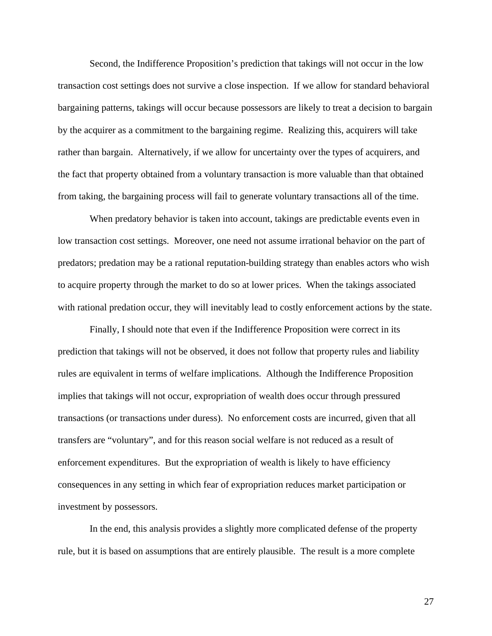Second, the Indifference Proposition's prediction that takings will not occur in the low transaction cost settings does not survive a close inspection. If we allow for standard behavioral bargaining patterns, takings will occur because possessors are likely to treat a decision to bargain by the acquirer as a commitment to the bargaining regime. Realizing this, acquirers will take rather than bargain. Alternatively, if we allow for uncertainty over the types of acquirers, and the fact that property obtained from a voluntary transaction is more valuable than that obtained from taking, the bargaining process will fail to generate voluntary transactions all of the time.

 When predatory behavior is taken into account, takings are predictable events even in low transaction cost settings. Moreover, one need not assume irrational behavior on the part of predators; predation may be a rational reputation-building strategy than enables actors who wish to acquire property through the market to do so at lower prices. When the takings associated with rational predation occur, they will inevitably lead to costly enforcement actions by the state.

 Finally, I should note that even if the Indifference Proposition were correct in its prediction that takings will not be observed, it does not follow that property rules and liability rules are equivalent in terms of welfare implications. Although the Indifference Proposition implies that takings will not occur, expropriation of wealth does occur through pressured transactions (or transactions under duress). No enforcement costs are incurred, given that all transfers are "voluntary", and for this reason social welfare is not reduced as a result of enforcement expenditures. But the expropriation of wealth is likely to have efficiency consequences in any setting in which fear of expropriation reduces market participation or investment by possessors.

 In the end, this analysis provides a slightly more complicated defense of the property rule, but it is based on assumptions that are entirely plausible. The result is a more complete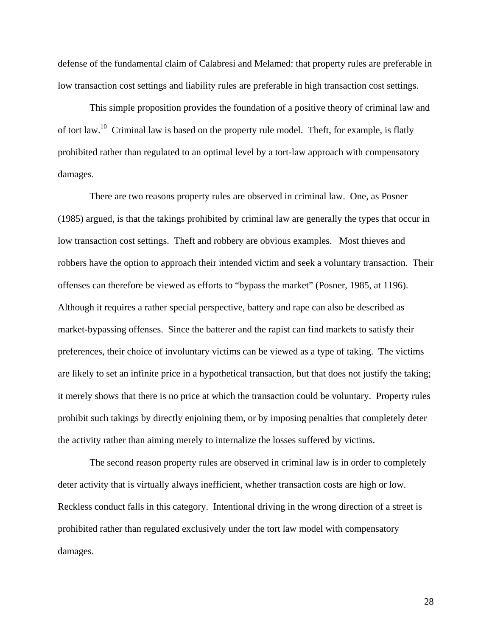defense of the fundamental claim of Calabresi and Melamed: that property rules are preferable in low transaction cost settings and liability rules are preferable in high transaction cost settings.

 This simple proposition provides the foundation of a positive theory of criminal law and of tort law.10 Criminal law is based on the property rule model. Theft, for example, is flatly prohibited rather than regulated to an optimal level by a tort-law approach with compensatory damages.

 There are two reasons property rules are observed in criminal law. One, as Posner (1985) argued, is that the takings prohibited by criminal law are generally the types that occur in low transaction cost settings. Theft and robbery are obvious examples. Most thieves and robbers have the option to approach their intended victim and seek a voluntary transaction. Their offenses can therefore be viewed as efforts to "bypass the market" (Posner, 1985, at 1196). Although it requires a rather special perspective, battery and rape can also be described as market-bypassing offenses. Since the batterer and the rapist can find markets to satisfy their preferences, their choice of involuntary victims can be viewed as a type of taking. The victims are likely to set an infinite price in a hypothetical transaction, but that does not justify the taking; it merely shows that there is no price at which the transaction could be voluntary. Property rules prohibit such takings by directly enjoining them, or by imposing penalties that completely deter the activity rather than aiming merely to internalize the losses suffered by victims.

 The second reason property rules are observed in criminal law is in order to completely deter activity that is virtually always inefficient, whether transaction costs are high or low. Reckless conduct falls in this category. Intentional driving in the wrong direction of a street is prohibited rather than regulated exclusively under the tort law model with compensatory damages.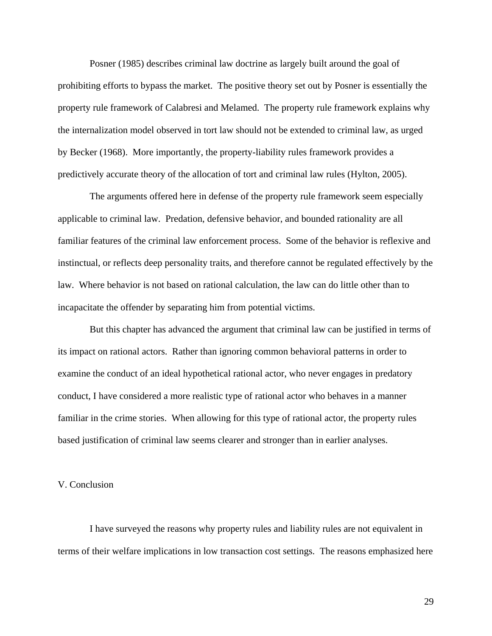Posner (1985) describes criminal law doctrine as largely built around the goal of prohibiting efforts to bypass the market. The positive theory set out by Posner is essentially the property rule framework of Calabresi and Melamed. The property rule framework explains why the internalization model observed in tort law should not be extended to criminal law, as urged by Becker (1968). More importantly, the property-liability rules framework provides a predictively accurate theory of the allocation of tort and criminal law rules (Hylton, 2005).

 The arguments offered here in defense of the property rule framework seem especially applicable to criminal law. Predation, defensive behavior, and bounded rationality are all familiar features of the criminal law enforcement process. Some of the behavior is reflexive and instinctual, or reflects deep personality traits, and therefore cannot be regulated effectively by the law. Where behavior is not based on rational calculation, the law can do little other than to incapacitate the offender by separating him from potential victims.

 But this chapter has advanced the argument that criminal law can be justified in terms of its impact on rational actors. Rather than ignoring common behavioral patterns in order to examine the conduct of an ideal hypothetical rational actor, who never engages in predatory conduct, I have considered a more realistic type of rational actor who behaves in a manner familiar in the crime stories. When allowing for this type of rational actor, the property rules based justification of criminal law seems clearer and stronger than in earlier analyses.

# V. Conclusion

 I have surveyed the reasons why property rules and liability rules are not equivalent in terms of their welfare implications in low transaction cost settings. The reasons emphasized here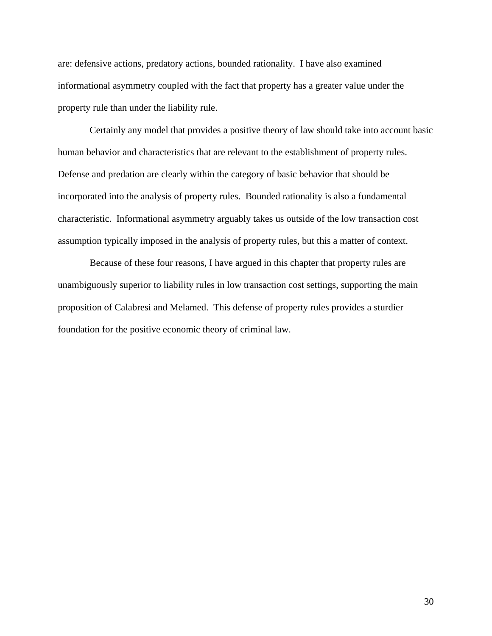are: defensive actions, predatory actions, bounded rationality. I have also examined informational asymmetry coupled with the fact that property has a greater value under the property rule than under the liability rule.

 Certainly any model that provides a positive theory of law should take into account basic human behavior and characteristics that are relevant to the establishment of property rules. Defense and predation are clearly within the category of basic behavior that should be incorporated into the analysis of property rules. Bounded rationality is also a fundamental characteristic. Informational asymmetry arguably takes us outside of the low transaction cost assumption typically imposed in the analysis of property rules, but this a matter of context.

 Because of these four reasons, I have argued in this chapter that property rules are unambiguously superior to liability rules in low transaction cost settings, supporting the main proposition of Calabresi and Melamed. This defense of property rules provides a sturdier foundation for the positive economic theory of criminal law.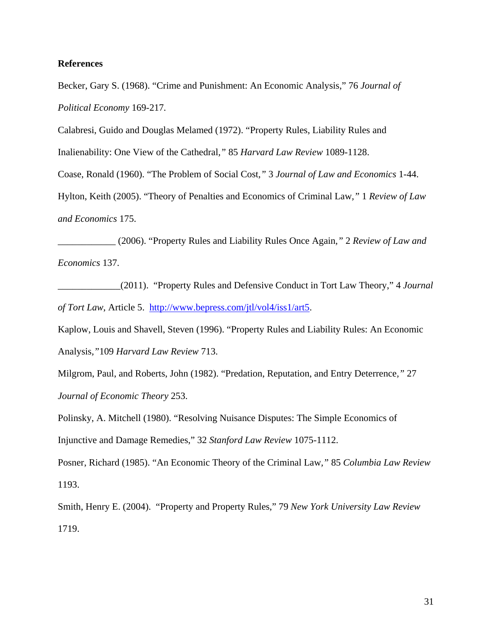# **References**

Becker, Gary S. (1968). "Crime and Punishment: An Economic Analysis," 76 *Journal of Political Economy* 169-217*.*

Calabresi, Guido and Douglas Melamed (1972). "Property Rules, Liability Rules and

Inalienability: One View of the Cathedral*,"* 85 *Harvard Law Review* 1089-1128.

Coase, Ronald (1960). "The Problem of Social Cost*,"* 3 *Journal of Law and Economics* 1-44.

Hylton, Keith (2005). "Theory of Penalties and Economics of Criminal Law*,"* 1 *Review of Law and Economics* 175.

\_\_\_\_\_\_\_\_\_\_\_\_ (2006). "Property Rules and Liability Rules Once Again*,"* 2 *Review of Law and Economics* 137.

\_\_\_\_\_\_\_\_\_\_\_\_\_(2011). "Property Rules and Defensive Conduct in Tort Law Theory," 4 *Journal of Tort Law*, Article 5. http://www.bepress.com/jtl/vol4/iss1/art5.

Kaplow, Louis and Shavell, Steven (1996). "Property Rules and Liability Rules: An Economic Analysis*,"*109 *Harvard Law Review* 713.

Milgrom, Paul, and Roberts, John (1982). "Predation, Reputation, and Entry Deterrence*,"* 27 *Journal of Economic Theory* 253.

Polinsky, A. Mitchell (1980). "Resolving Nuisance Disputes: The Simple Economics of Injunctive and Damage Remedies," 32 *Stanford Law Review* 1075-1112.

Posner, Richard (1985). "An Economic Theory of the Criminal Law*,"* 85 *Columbia Law Review*  1193.

Smith, Henry E. (2004). "Property and Property Rules," 79 *New York University Law Review* 1719.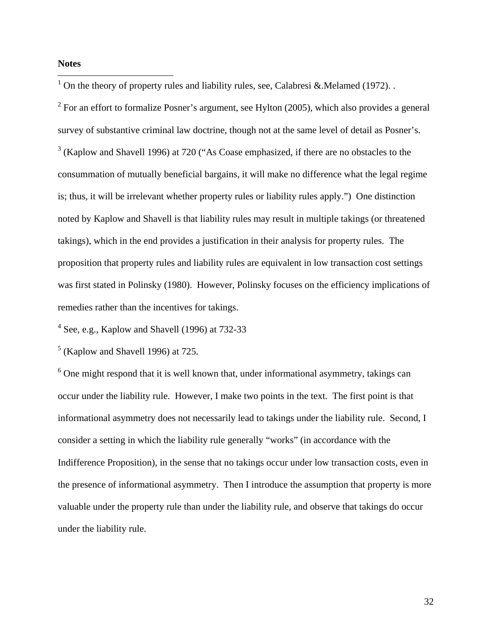# **Notes**

 $\overline{a}$ 

<sup>1</sup> On the theory of property rules and liability rules, see, Calabresi & Melamed (1972). .

 $2^2$  For an effort to formalize Posner's argument, see Hylton (2005), which also provides a general survey of substantive criminal law doctrine, though not at the same level of detail as Posner's.  $3$  (Kaplow and Shavell 1996) at 720 ("As Coase emphasized, if there are no obstacles to the consummation of mutually beneficial bargains, it will make no difference what the legal regime is; thus, it will be irrelevant whether property rules or liability rules apply.") One distinction noted by Kaplow and Shavell is that liability rules may result in multiple takings (or threatened takings), which in the end provides a justification in their analysis for property rules. The proposition that property rules and liability rules are equivalent in low transaction cost settings was first stated in Polinsky (1980). However, Polinsky focuses on the efficiency implications of remedies rather than the incentives for takings.

 $4$  See, e.g., Kaplow and Shavell (1996) at 732-33

 $<sup>5</sup>$  (Kaplow and Shavell 1996) at 725.</sup>

 $6$  One might respond that it is well known that, under informational asymmetry, takings can occur under the liability rule. However, I make two points in the text. The first point is that informational asymmetry does not necessarily lead to takings under the liability rule. Second, I consider a setting in which the liability rule generally "works" (in accordance with the Indifference Proposition), in the sense that no takings occur under low transaction costs, even in the presence of informational asymmetry. Then I introduce the assumption that property is more valuable under the property rule than under the liability rule, and observe that takings do occur under the liability rule.